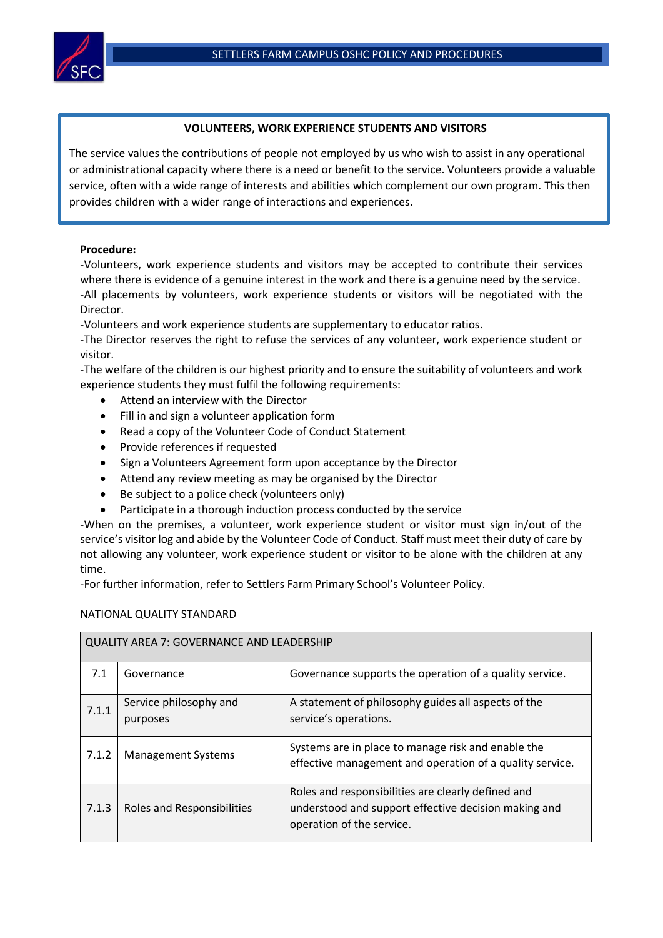

## **VOLUNTEERS, WORK EXPERIENCE STUDENTS AND VISITORS**

The service values the contributions of people not employed by us who wish to assist in any operational or administrational capacity where there is a need or benefit to the service. Volunteers provide a valuable service, often with a wide range of interests and abilities which complement our own program. This then provides children with a wider range of interactions and experiences.

## **Procedure:**

-Volunteers, work experience students and visitors may be accepted to contribute their services where there is evidence of a genuine interest in the work and there is a genuine need by the service. -All placements by volunteers, work experience students or visitors will be negotiated with the Director.

-Volunteers and work experience students are supplementary to educator ratios.

-The Director reserves the right to refuse the services of any volunteer, work experience student or visitor.

-The welfare of the children is our highest priority and to ensure the suitability of volunteers and work experience students they must fulfil the following requirements:

- Attend an interview with the Director
- Fill in and sign a volunteer application form
- Read a copy of the Volunteer Code of Conduct Statement
- Provide references if requested
- Sign a Volunteers Agreement form upon acceptance by the Director
- Attend any review meeting as may be organised by the Director
- Be subject to a police check (volunteers only)
- Participate in a thorough induction process conducted by the service

-When on the premises, a volunteer, work experience student or visitor must sign in/out of the service's visitor log and abide by the Volunteer Code of Conduct. Staff must meet their duty of care by not allowing any volunteer, work experience student or visitor to be alone with the children at any time.

-For further information, refer to Settlers Farm Primary School's Volunteer Policy.

## NATIONAL QUALITY STANDARD

| QUALITY AREA 7: GOVERNANCE AND LEADERSHIP |                                    |                                                                                                                                         |  |  |
|-------------------------------------------|------------------------------------|-----------------------------------------------------------------------------------------------------------------------------------------|--|--|
| 7.1                                       | Governance                         | Governance supports the operation of a quality service.                                                                                 |  |  |
| 7.1.1                                     | Service philosophy and<br>purposes | A statement of philosophy guides all aspects of the<br>service's operations.                                                            |  |  |
| 7.1.2                                     | <b>Management Systems</b>          | Systems are in place to manage risk and enable the<br>effective management and operation of a quality service.                          |  |  |
| 7.1.3                                     | Roles and Responsibilities         | Roles and responsibilities are clearly defined and<br>understood and support effective decision making and<br>operation of the service. |  |  |